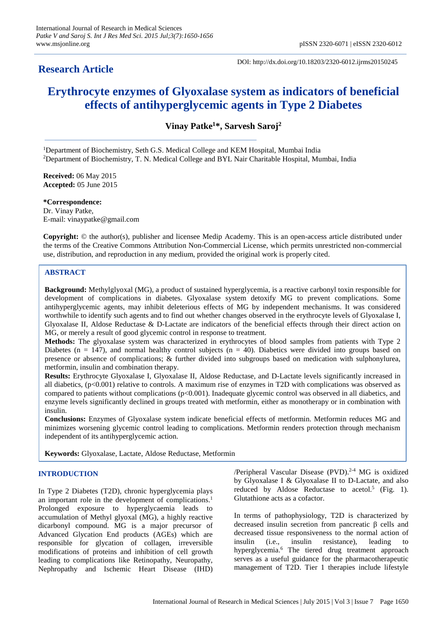DOI: http://dx.doi.org/10.18203/2320-6012.ijrms20150245

# **Erythrocyte enzymes of Glyoxalase system as indicators of beneficial effects of antihyperglycemic agents in Type 2 Diabetes**

**Vinay Patke<sup>1</sup>\*, Sarvesh Saroj<sup>2</sup>**

<sup>1</sup>Department of Biochemistry, Seth G.S. Medical College and KEM Hospital, Mumbai India <sup>2</sup>Department of Biochemistry, T. N. Medical College and BYL Nair Charitable Hospital, Mumbai, India

**Received:** 06 May 2015 **Accepted:** 05 June 2015

**\*Correspondence:** Dr. Vinay Patke, E-mail: vinaypatke@gmail.com

**Copyright:** © the author(s), publisher and licensee Medip Academy. This is an open-access article distributed under the terms of the Creative Commons Attribution Non-Commercial License, which permits unrestricted non-commercial use, distribution, and reproduction in any medium, provided the original work is properly cited.

# **ABSTRACT**

**Background:** Methylglyoxal (MG), a product of sustained hyperglycemia, is a reactive carbonyl toxin responsible for development of complications in diabetes. Glyoxalase system detoxify MG to prevent complications. Some antihyperglycemic agents, may inhibit deleterious effects of MG by independent mechanisms. It was considered worthwhile to identify such agents and to find out whether changes observed in the erythrocyte levels of Glyoxalase I, Glyoxalase II, Aldose Reductase & D-Lactate are indicators of the beneficial effects through their direct action on MG, or merely a result of good glycemic control in response to treatment.

**Methods:** The glyoxalase system was characterized in erythrocytes of blood samples from patients with Type 2 Diabetes ( $n = 147$ ), and normal healthy control subjects ( $n = 40$ ). Diabetics were divided into groups based on presence or absence of complications; & further divided into subgroups based on medication with sulphonylurea, metformin, insulin and combination therapy.

**Results:** Erythrocyte Glyoxalase I, Glyoxalase II, Aldose Reductase, and D-Lactate levels significantly increased in all diabetics, (p<0.001) relative to controls. A maximum rise of enzymes in T2D with complications was observed as compared to patients without complications (p<0.001). Inadequate glycemic control was observed in all diabetics, and enzyme levels significantly declined in groups treated with metformin, either as monotherapy or in combination with insulin.

**Conclusions:** Enzymes of Glyoxalase system indicate beneficial effects of metformin. Metformin reduces MG and minimizes worsening glycemic control leading to complications. Metformin renders protection through mechanism independent of its antihyperglycemic action.

**Keywords:** Glyoxalase, Lactate, Aldose Reductase, Metformin

# **INTRODUCTION**

In Type 2 Diabetes (T2D), chronic hyperglycemia plays an important role in the development of complications. 1 Prolonged exposure to hyperglycaemia leads to accumulation of Methyl glyoxal (MG), a highly reactive dicarbonyl compound. MG is a major precursor of Advanced Glycation End products (AGEs) which are responsible for glycation of collagen, irreversible modifications of proteins and inhibition of cell growth leading to complications like Retinopathy, Neuropathy, Nephropathy and Ischemic Heart Disease (IHD) /Peripheral Vascular Disease (PVD).<sup>2-4</sup> MG is oxidized by Glyoxalase I & Glyoxalase II to D-Lactate, and also reduced by Aldose Reductase to acetol.<sup>5</sup> (Fig. 1). Glutathione acts as a cofactor.

In terms of pathophysiology, T2D is characterized by decreased insulin secretion from pancreatic β cells and decreased tissue responsiveness to the normal action of insulin (i.e., insulin resistance), leading to hyperglycemia.<sup>6</sup> The tiered drug treatment approach serves as a useful guidance for the pharmacotherapeutic management of T2D. Tier 1 therapies include lifestyle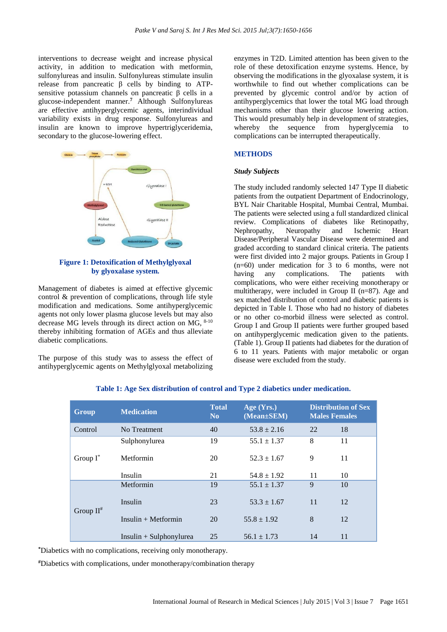interventions to decrease weight and increase physical activity, in addition to medication with metformin, sulfonylureas and insulin. Sulfonylureas stimulate insulin release from pancreatic β cells by binding to ATPsensitive potassium channels on pancreatic β cells in a glucose-independent manner. **<sup>7</sup>** Although Sulfonylureas are effective antihyperglycemic agents, interindividual variability exists in drug response. Sulfonylureas and insulin are known to improve hypertriglyceridemia, secondary to the glucose-lowering effect.



# **Figure 1: Detoxification of Methylglyoxal by glyoxalase system.**

Management of diabetes is aimed at effective glycemic control & prevention of complications, through life style modification and medications. Some antihyperglycemic agents not only lower plasma glucose levels but may also decrease MG levels through its direct action on MG, 8-10 thereby inhibiting formation of AGEs and thus alleviate diabetic complications.

The purpose of this study was to assess the effect of antihyperglycemic agents on Methylglyoxal metabolizing enzymes in T2D. Limited attention has been given to the role of these detoxification enzyme systems. Hence, by observing the modifications in the glyoxalase system, it is worthwhile to find out whether complications can be prevented by glycemic control and/or by action of antihyperglycemics that lower the total MG load through mechanisms other than their glucose lowering action. This would presumably help in development of strategies, whereby the sequence from hyperglycemia to complications can be interrupted therapeutically.

# **METHODS**

#### *Study Subjects*

The study included randomly selected 147 Type II diabetic patients from the outpatient Department of Endocrinology, BYL Nair Charitable Hospital, Mumbai Central, Mumbai. The patients were selected using a full standardized clinical review. Complications of diabetes like Retinopathy, Nephropathy, Neuropathy and Ischemic Heart Disease/Peripheral Vascular Disease were determined and graded according to standard clinical criteria. The patients were first divided into 2 major groups. Patients in Group I (n=60) under medication for 3 to 6 months, were not having any complications. The patients with complications, who were either receiving monotherapy or multitherapy, were included in Group II (n=87). Age and sex matched distribution of control and diabetic patients is depicted in Table I. Those who had no history of diabetes or no other co-morbid illness were selected as control. Group I and Group II patients were further grouped based on antihyperglycemic medication given to the patients. (Table 1). Group II patients had diabetes for the duration of 6 to 11 years. Patients with major metabolic or organ disease were excluded from the study.

| Group        | <b>Medication</b>        | <b>Total</b><br>N <sub>0</sub> | Age (Yrs.)<br>(Mean±SEM) | <b>Distribution of Sex</b><br><b>Males Females</b> |    |
|--------------|--------------------------|--------------------------------|--------------------------|----------------------------------------------------|----|
| Control      | No Treatment             | 40                             | $53.8 \pm 2.16$          | 22                                                 | 18 |
| Group $I^*$  | Sulphonylurea            | 19                             | $55.1 \pm 1.37$          | 8                                                  | 11 |
|              | Metformin                | 20                             | $52.3 \pm 1.67$          | 9                                                  | 11 |
|              | Insulin                  | 21                             | $54.8 \pm 1.92$          | 11                                                 | 10 |
| Group $II^*$ | Metformin                | 19                             | $55.1 \pm 1.37$          | 9                                                  | 10 |
|              | Insulin                  | 23                             | $53.3 \pm 1.67$          | 11                                                 | 12 |
|              | $Insulin + Metformin$    | 20                             | $55.8 \pm 1.92$          | 8                                                  | 12 |
|              | $Insulin + Subhonylurea$ | 25                             | $56.1 \pm 1.73$          | 14                                                 | 11 |

**\***Diabetics with no complications, receiving only monotherapy.

**#**Diabetics with complications, under monotherapy/combination therapy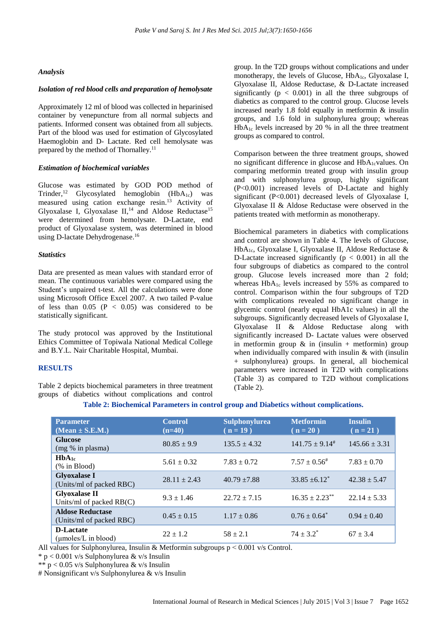#### *Analysis*

#### *Isolation of red blood cells and preparation of hemolysate*

Approximately 12 ml of blood was collected in heparinised container by venepuncture from all normal subjects and patients. Informed consent was obtained from all subjects. Part of the blood was used for estimation of Glycosylated Haemoglobin and D- Lactate. Red cell hemolysate was prepared by the method of Thornalley.<sup>11</sup>

#### *Estimation of biochemical variables*

Glucose was estimated by GOD POD method of Trinder,<sup>12</sup> Glycosylated hemoglobin (HbA<sub>1c</sub>) was measured using cation exchange resin. <sup>13</sup> Activity of Glyoxalase I, Glyoxalase  $II$ ,<sup>14</sup> and Aldose Reductase<sup>15</sup> were determined from hemolysate. D-Lactate, end product of Glyoxalase system, was determined in blood using D-lactate Dehydrogenase. 16

#### *Statistics*

Data are presented as mean values with standard error of mean. The continuous variables were compared using the Student's unpaired t-test. All the calculations were done using Microsoft Office Excel 2007. A two tailed P-value of less than  $0.05$  (P < 0.05) was considered to be statistically significant.

The study protocol was approved by the Institutional Ethics Committee of Topiwala National Medical College and B.Y.L. Nair Charitable Hospital, Mumbai.

#### **RESULTS**

Table 2 depicts biochemical parameters in three treatment groups of diabetics without complications and control group. In the T2D groups without complications and under monotherapy, the levels of Glucose, HbA<sub>1c</sub>, Glyoxalase I, Glyoxalase II, Aldose Reductase, & D-Lactate increased significantly  $(p < 0.001)$  in all the three subgroups of diabetics as compared to the control group. Glucose levels increased nearly 1.8 fold equally in metformin & insulin groups, and 1.6 fold in sulphonylurea group; whereas HbA1c levels increased by 20 % in all the three treatment groups as compared to control.

Comparison between the three treatment groups, showed no significant difference in glucose and HbA<sub>1c</sub>values. On comparing metformin treated group with insulin group and with sulphonylurea group, highly significant (P<0.001) increased levels of D-Lactate and highly significant (P<0.001) decreased levels of Glyoxalase I, Glyoxalase II & Aldose Reductase were observed in the patients treated with metformin as monotherapy.

Biochemical parameters in diabetics with complications and control are shown in Table 4. The levels of Glucose, HbA1c, Glyoxalase I, Glyoxalase II, Aldose Reductase & D-Lactate increased significantly ( $p < 0.001$ ) in all the four subgroups of diabetics as compared to the control group. Glucose levels increased more than 2 fold; whereas HbA<sub>1c</sub> levels increased by 55% as compared to control. Comparison within the four subgroups of T2D with complications revealed no significant change in glycemic control (nearly equal HbA1c values) in all the subgroups. Significantly decreased levels of Glyoxalase I, Glyoxalase II & Aldose Reductase along with significantly increased D- Lactate values were observed in metformin group  $\&$  in (insulin + metformin) group when individually compared with insulin  $&$  with (insulin + sulphonylurea) groups. In general, all biochemical parameters were increased in T2D with complications (Table 3) as compared to T2D without complications (Table 2).

| <b>Parameter</b><br>$(Mean \pm S.E.M.)$             | <b>Control</b><br>$(n=40)$ | <b>Sulphonylurea</b><br>$(n = 19)$ | <b>Metformin</b><br>$(n = 20)$ | <b>Insulin</b><br>$(n = 21)$ |
|-----------------------------------------------------|----------------------------|------------------------------------|--------------------------------|------------------------------|
| <b>Glucose</b><br>(mg % in plasma)                  | $80.85 \pm 9.9$            | $135.5 \pm 4.32$                   | $141.75 \pm 9.14^{\text{*}}$   | $145.66 \pm 3.31$            |
| $HbA_{1c}$<br>$%$ in Blood)                         | $5.61 \pm 0.32$            | $7.83 \pm 0.72$                    | $7.57 \pm 0.56^{\#}$           | $7.83 \pm 0.70$              |
| <b>Glyoxalase I</b><br>(Units/ml of packed RBC)     | $28.11 \pm 2.43$           | $40.79 + 7.88$                     | $33.85 + 6.12^*$               | $42.38 \pm 5.47$             |
| <b>Glyoxalase II</b><br>Units/ml of packed $RB(C)$  | $9.3 \pm 1.46$             | $22.72 \pm 7.15$                   | $16.35 \pm 2.23$ **            | $22.14 \pm 5.33$             |
| <b>Aldose Reductase</b><br>(Units/ml of packed RBC) | $0.45 \pm 0.15$            | $1.17 \pm 0.86$                    | $0.76 \pm 0.64^*$              | $0.94 \pm 0.40$              |
| <b>D-Lactate</b><br>$\mu$ moles/L in blood)         | $22 \pm 1.2$               | $58 \pm 2.1$                       | $74 \pm 3.2^*$                 | $67 \pm 3.4$                 |

# **Table 2: Biochemical Parameters in control group and Diabetics without complications.**

All values for Sulphonylurea, Insulin & Metformin subgroups  $p \le 0.001$  v/s Control.

 $* p < 0.001$  v/s Sulphonylurea & v/s Insulin

\*\*  $p < 0.05$  v/s Sulphonylurea & v/s Insulin

# Nonsignificant v/s Sulphonylurea & v/s Insulin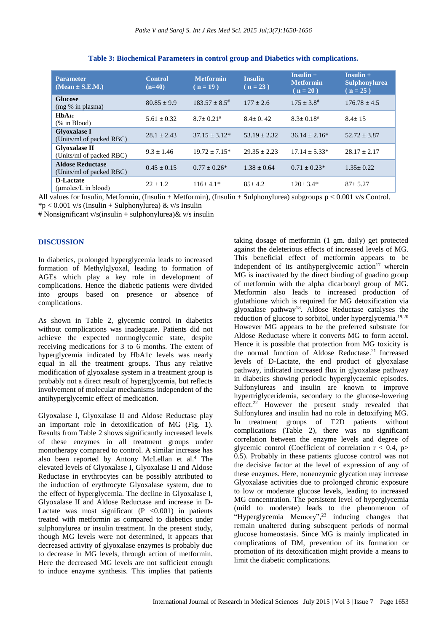| <b>Parameter</b><br>$(Mean \pm S.E.M.)$             | <b>Control</b><br>$(n=40)$ | <b>Metformin</b><br>$(n = 19)$ | <b>Insulin</b><br>$(n = 23)$ | $Insulin +$<br><b>Metformin</b><br>$(n = 20)$ | $Insulin +$<br>Sulphonylurea<br>$(n = 25)$ |
|-----------------------------------------------------|----------------------------|--------------------------------|------------------------------|-----------------------------------------------|--------------------------------------------|
| <b>Glucose</b><br>(mg % in plasma)                  | $80.85 \pm 9.9$            | $183.57 + 8.5^{\#}$            | $177 \pm 2.6$                | $175 + 3.8^{\#}$                              | $176.78 \pm 4.5$                           |
| HbA <sub>1c</sub><br>$%$ in Blood)                  | $5.61 + 0.32$              | $8.7+0.21$ #                   | $8.4+0.42$                   | $8.3 + 0.18$ #                                | $8.4 + 15$                                 |
| <b>Glyoxalase I</b><br>(Units/ml of packed RBC)     | $28.1 \pm 2.43$            | $37.15 + 3.12*$                | $53.19 + 2.32$               | $36.14 + 2.16*$                               | $52.72 \pm 3.87$                           |
| <b>Glyoxalase II</b><br>(Units/ml of packed RBC)    | $9.3 \pm 1.46$             | $19.72 + 7.15*$                | $29.35 + 2.23$               | $17.14 + 5.33*$                               | $28.17 + 2.17$                             |
| <b>Aldose Reductase</b><br>(Units/ml of packed RBC) | $0.45 + 0.15$              | $0.77 + 0.26*$                 | $1.38 \pm 0.64$              | $0.71 + 0.23*$                                | $1.35+0.22$                                |
| <b>D-Lactate</b><br>(umoles/L in blood)             | $22 + 1.2$                 | $116+4.1*$                     | $85 + 4.2$                   | $120+3.4*$                                    | $87 + 5.27$                                |

**Table 3: Biochemical Parameters in control group and Diabetics with complications.**

All values for Insulin, Metformin, (Insulin + Metformin), (Insulin + Sulphonylurea) subgroups  $p < 0.001$  v/s Control.  $*p < 0.001$  v/s (Insulin + Sulphonylurea) & v/s Insulin

# Nonsignificant v/s(insulin + sulphonylurea) & v/s insulin

### **DISCUSSION**

In diabetics, prolonged hyperglycemia leads to increased formation of Methylglyoxal, leading to formation of AGEs which play a key role in development of complications. Hence the diabetic patients were divided into groups based on presence or absence of complications.

As shown in Table 2, glycemic control in diabetics without complications was inadequate. Patients did not achieve the expected normoglycemic state, despite receiving medications for 3 to 6 months. The extent of hyperglycemia indicated by HbA1c levels was nearly equal in all the treatment groups. Thus any relative modification of glyoxalase system in a treatment group is probably not a direct result of hyperglycemia, but reflects involvement of molecular mechanisms independent of the antihyperglycemic effect of medication.

Glyoxalase I, Glyoxalase II and Aldose Reductase play an important role in detoxification of MG (Fig. 1). Results from Table 2 shows significantly increased levels of these enzymes in all treatment groups under monotherapy compared to control. A similar increase has also been reported by Antony McLellan et al. <sup>4</sup> The elevated levels of Glyoxalase I, Glyoxalase II and Aldose Reductase in erythrocytes can be possibly attributed to the induction of erythrocyte Glyoxalase system, due to the effect of hyperglycemia. The decline in Glyoxalase I, Glyoxalase II and Aldose Reductase and increase in D-Lactate was most significant  $(P \le 0.001)$  in patients treated with metformin as compared to diabetics under sulphonylurea or insulin treatment. In the present study, though MG levels were not determined, it appears that decreased activity of glyoxalase enzymes is probably due to decrease in MG levels, through action of metformin. Here the decreased MG levels are not sufficient enough to induce enzyme synthesis. This implies that patients

taking dosage of metformin (1 gm. daily) get protected against the deleterious effects of increased levels of MG. This beneficial effect of metformin appears to be independent of its antihyperglycemic  $\arcsin^{17}$  wherein MG is inactivated by the direct binding of guadino group of metformin with the alpha dicarbonyl group of MG. Metformin also leads to increased production of glutathione which is required for MG detoxification via glyoxalase pathway<sup>18</sup> . Aldose Reductase catalyses the reduction of glucose to sorbitol, under hyperglycemia.<sup>19,20</sup> However MG appears to be the preferred substrate for Aldose Reductase where it converts MG to form acetol. Hence it is possible that protection from MG toxicity is the normal function of Aldose Reductase. <sup>21</sup> Increased levels of D-Lactate, the end product of glyoxalase pathway, indicated increased flux in glyoxalase pathway in diabetics showing periodic hyperglycaemic episodes. Sulfonylureas and insulin are known to improve hypertriglyceridemia, secondary to the glucose-lowering effect.<sup>22</sup> However the present study revealed that Sulfonylurea and insulin had no role in detoxifying MG. In treatment groups of T2D patients without complications (Table 2), there was no significant correlation between the enzyme levels and degree of glycemic control (Coefficient of correlation  $r < 0.4$ , p> 0.5). Probably in these patients glucose control was not the decisive factor at the level of expression of any of these enzymes. Here, nonenzymic glycation may increase Glyoxalase activities due to prolonged chronic exposure to low or moderate glucose levels, leading to increased MG concentration. The persistent level of hyperglycemia (mild to moderate) leads to the phenomenon of "Hyperglycemia Memory", <sup>23</sup> inducing changes that remain unaltered during subsequent periods of normal glucose homeostasis. Since MG is mainly implicated in complications of DM, prevention of its formation or promotion of its detoxification might provide a means to limit the diabetic complications.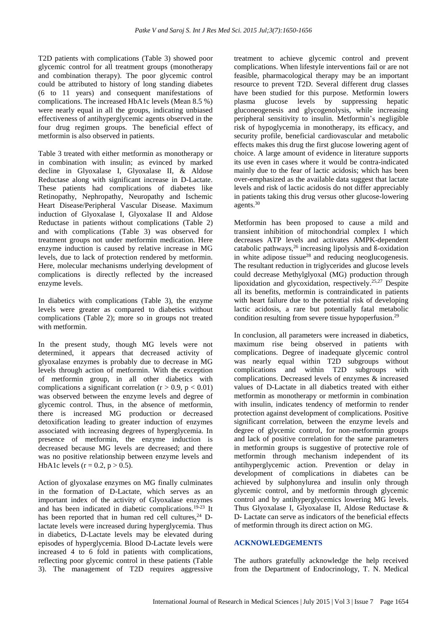T2D patients with complications (Table 3) showed poor glycemic control for all treatment groups (monotherapy and combination therapy). The poor glycemic control could be attributed to history of long standing diabetes (6 to 11 years) and consequent manifestations of complications. The increased HbA1c levels (Mean 8.5 %) were nearly equal in all the groups, indicating unbiased effectiveness of antihyperglycemic agents observed in the four drug regimen groups. The beneficial effect of metformin is also observed in patients.

Table 3 treated with either metformin as monotherapy or in combination with insulin; as evinced by marked decline in Glyoxalase I, Glyoxalase II, & Aldose Reductase along with significant increase in D-Lactate. These patients had complications of diabetes like Retinopathy, Nephropathy, Neuropathy and Ischemic Heart Disease/Peripheral Vascular Disease. Maximum induction of Glyoxalase I, Glyoxalase II and Aldose Reductase in patients without complications (Table 2) and with complications (Table 3) was observed for treatment groups not under metformin medication. Here enzyme induction is caused by relative increase in MG levels, due to lack of protection rendered by metformin. Here, molecular mechanisms underlying development of complications is directly reflected by the increased enzyme levels.

In diabetics with complications (Table 3), the enzyme levels were greater as compared to diabetics without complications (Table 2); more so in groups not treated with metformin.

In the present study, though MG levels were not determined, it appears that decreased activity of glyoxalase enzymes is probably due to decrease in MG levels through action of metformin. With the exception of metformin group, in all other diabetics with complications a significant correlation ( $r > 0.9$ ,  $p < 0.01$ ) was observed between the enzyme levels and degree of glycemic control. Thus, in the absence of metformin, there is increased MG production or decreased detoxification leading to greater induction of enzymes associated with increasing degrees of hyperglycemia. In presence of metformin, the enzyme induction is decreased because MG levels are decreased; and there was no positive relationship between enzyme levels and HbA1c levels ( $r = 0.2$ ,  $p > 0.5$ ).

Action of glyoxalase enzymes on MG finally culminates in the formation of D-Lactate, which serves as an important index of the activity of Glyoxalase enzymes and has been indicated in diabetic complications.19-23 It has been reported that in human red cell cultures,<sup>24</sup> Dlactate levels were increased during hyperglycemia. Thus in diabetics, D-Lactate levels may be elevated during episodes of hyperglycemia. Blood D-Lactate levels were increased 4 to 6 fold in patients with complications, reflecting poor glycemic control in these patients (Table 3). The management of T2D requires aggressive

treatment to achieve glycemic control and prevent complications. When lifestyle interventions fail or are not feasible, pharmacological therapy may be an important resource to prevent T2D. Several different drug classes have been studied for this purpose. Metformin lowers plasma glucose levels by suppressing hepatic gluconeogenesis and glycogenolysis, while increasing peripheral sensitivity to insulin. Metformin's negligible risk of hypoglycemia in monotherapy, its efficacy, and security profile, beneficial cardiovascular and metabolic effects makes this drug the first glucose lowering agent of choice. A large amount of evidence in literature supports its use even in cases where it would be contra-indicated mainly due to the fear of lactic acidosis; which has been over-emphasized as the available data suggest that lactate levels and risk of lactic acidosis do not differ appreciably in patients taking this drug versus other glucose-lowering agents.<sup>30</sup>

Metformin has been proposed to cause a mild and transient inhibition of mitochondrial complex I which decreases ATP levels and activates AMPK-dependent catabolic pathways, <sup>26</sup> increasing lipolysis and ß-oxidation in white adipose tissue<sup>28</sup> and reducing neoglucogenesis. The resultant reduction in triglycerides and glucose levels could decrease Methylglyoxal (MG) production through lipoxidation and glycoxidation, respectively. 25,27 Despite all its benefits, metformin is contraindicated in patients with heart failure due to the potential risk of developing lactic acidosis, a rare but potentially fatal metabolic condition resulting from severe tissue hypoperfusion.<sup>29</sup>

In conclusion, all parameters were increased in diabetics, maximum rise being observed in patients with complications. Degree of inadequate glycemic control was nearly equal within T2D subgroups without complications and within T2D subgroups with complications. Decreased levels of enzymes & increased values of D-Lactate in all diabetics treated with either metformin as monotherapy or metformin in combination with insulin, indicates tendency of metformin to render protection against development of complications. Positive significant correlation, between the enzyme levels and degree of glycemic control, for non-metformin groups and lack of positive correlation for the same parameters in metformin groups is suggestive of protective role of metformin through mechanism independent of its antihyperglycemic action. Prevention or delay in development of complications in diabetes can be achieved by sulphonylurea and insulin only through glycemic control, and by metformin through glycemic control and by antihyperglycemics lowering MG levels. Thus Glyoxalase I, Glyoxalase II, Aldose Reductase & D- Lactate can serve as indicators of the beneficial effects of metformin through its direct action on MG.

# **ACKNOWLEDGEMENTS**

The authors gratefully acknowledge the help received from the Department of Endocrinology, T. N. Medical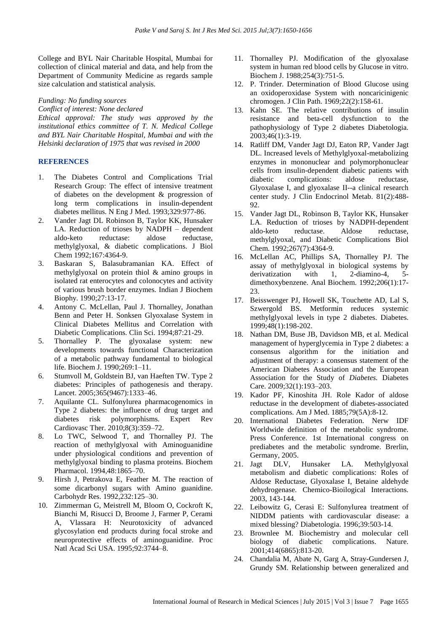College and BYL Nair Charitable Hospital, Mumbai for collection of clinical material and data, and help from the Department of Community Medicine as regards sample size calculation and statistical analysis.

#### *Funding: No funding sources*

*Conflict of interest: None declared*

*Ethical approval: The study was approved by the institutional ethics committee of T. N. Medical College and BYL Nair Charitable Hospital, Mumbai and with the Helsinki declaration of 1975 that was revised in 2000*

# **REFERENCES**

- 1. The Diabetes Control and Complications Trial Research Group: The effect of intensive treatment of diabetes on the development & progression of long term complications in insulin-dependent diabetes mellitus. N Eng J Med. 1993;329:977-86.
- 2. Vander Jagt DL Robinson B, Taylor KK, Hunsaker LA. Reduction of trioses by NADPH – dependent aldo-keto reductase: aldose reductase, methylglyoxal, & diabetic complications. J Biol Chem 1992;167:4364-9.
- 3. Baskaran S, Balasubramanian KA. Effect of methylglyoxal on protein thiol & amino groups in isolated rat enterocytes and colonocytes and activity of various brush border enzymes. Indian J Biochem Biophy. 1990;27:13-17.
- 4. Antony C. McLellan, Paul J. Thornalley, Jonathan Benn and Peter H. Sonksen Glyoxalase System in Clinical Diabetes Mellitus and Correlation with Diabetic Complications. Clin Sci. 1994;87:21-29.
- 5. Thornalley P. The glyoxalase system: new developments towards functional Characterization of a metabolic pathway fundamental to biological life. Biochem J. 1990;269:1–11.
- 6. Stumvoll M, Goldstein BJ, van Haeften TW. Type 2 diabetes: Principles of pathogenesis and therapy. Lancet. 2005;365(9467):1333–46.
- 7. Aquilante CL. Sulfonylurea pharmacogenomics in Type 2 diabetes: the influence of drug target and diabetes risk polymorphisms. Expert Rev Cardiovasc Ther. 2010;8(3):359–72.
- 8. Lo TWC, Selwood T, and Thornalley PJ. The reaction of methylglyoxal with Aminoguanidine under physiological conditions and prevention of methylglyoxal binding to plasma proteins. Biochem Pharmacol. 1994,48:1865–70.
- 9. Hirsh J, Petrakova E, Feather M. The reaction of some dicarbonyl sugars with Amino guanidine. Carbohydr Res. 1992,232:125–30.
- 10. Zimmerman G, Meistrell M, Bloom O, Cockroft K, Bianchi M, Risucci D, Broome J, Farmer P, Cerami A, Vlassara H: Neurotoxicity of advanced glycosylation end products during focal stroke and neuroprotective effects of aminoguanidine. Proc Natl Acad Sci USA. 1995;92:3744–8.
- 11. Thornalley PJ. Modification of the glyoxalase system in human red blood cells by Glucose in vitro. Biochem J. 1988;254(3):751-5.
- 12. P. Trinder. Determination of Blood Glucose using an oxidoperoxidase System with noncaricinigenic chromogen. J Clin Path. 1969;22(2):158-61.
- 13. Kahn SE. The relative contributions of insulin resistance and beta-cell dysfunction to the pathophysiology of Type 2 diabetes Diabetologia. 2003;46(1):3-19.
- 14. Ratliff DM, Vander Jagt DJ, Eaton RP, Vander Jagt DL. Increased levels of Methylglyoxal-metabolizing enzymes in mononuclear and polymorphonuclear cells from insulin-dependent diabetic patients with diabetic complications: aldose reductase, Glyoxalase I, and glyoxalase II--a clinical research center study. J Clin Endocrinol Metab. 81(2):488- 92.
- 15. Vander Jagt DL, Robinson B, Taylor KK, Hunsaker LA. Reduction of trioses by NADPH-dependent aldo-keto reductase. Aldose reductase, methylglyoxal, and Diabetic Complications Biol Chem. 1992;267(7):4364-9.
- 16. McLellan AC, Phillips SA, Thornalley PJ. The assay of methylglyoxal in biological systems by derivatization with 1, 2-diamino-4, 5 dimethoxybenzene. Anal Biochem. 1992;206(1):17- 23.
- 17. Beisswenger PJ, Howell SK, Touchette AD, Lal S, Szwergold BS. Metformin reduces systemic methylglyoxal levels in type 2 diabetes. Diabetes. 1999;48(1):198-202.
- 18. Nathan DM, Buse JB, Davidson MB, et al. Medical management of hyperglycemia in Type 2 diabetes: a consensus algorithm for the initiation and adjustment of therapy: a consensus statement of the American Diabetes Association and the European Association for the Study of *Diabetes.* Diabetes Care. 2009;32(1):193–203.
- 19. Kador PF, Kinoshita JH. Role Kador of aldose reductase in the development of diabetes-associated complications. Am J Med. 1885;79(5A):8-12.
- 20. International Diabetes Federation. Nerw IDF Worldwide definition of the metabolic syndrome. Press Conference. 1st International congress on prediabetes and the metabolic syndrome. Brerlin, Germany, 2005.
- 21. Jagt DLV, Hunsaker LA. Methylglyoxal metabolism and diabetic complications: Roles of Aldose Reductase, Glyoxalase I, Betaine aldehyde dehydrogenase. Chemico-Bioilogical Interactions. 2003, 143-144.
- 22. Leibowitz G, Cerasi E: Sulfonylurea treatment of NIDDM patients with cardiovascular disease: a mixed blessing? Diabetologia. 1996;39:503-14.
- 23. Brownlee M. Biochemistry and molecular cell biology of diabetic complications. Nature. 2001;414(6865):813-20.
- 24. Chandalia M, Abate N, Garg A, Stray-Gundersen J, Grundy SM. Relationship between generalized and